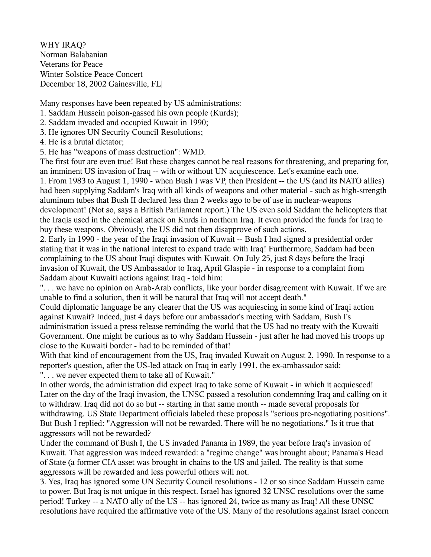WHY IRAQ? Norman Balabanian Veterans for Peace Winter Solstice Peace Concert December 18, 2002 Gainesville, FL|

Many responses have been repeated by US administrations:

1. Saddam Hussein poison-gassed his own people (Kurds);

2. Saddam invaded and occupied Kuwait in 1990;

3. He ignores UN Security Council Resolutions;

4. He is a brutal dictator;

5. He has "weapons of mass destruction": WMD.

The first four are even true! But these charges cannot be real reasons for threatening, and preparing for, an imminent US invasion of Iraq -- with or without UN acquiescence. Let's examine each one.

1. From 1983 to August 1, 1990 - when Bush I was VP, then President -- the US (and its NATO allies) had been supplying Saddam's Iraq with all kinds of weapons and other material - such as high-strength aluminum tubes that Bush II declared less than 2 weeks ago to be of use in nuclear-weapons development! (Not so, says a British Parliament report.) The US even sold Saddam the helicopters that the Iraqis used in the chemical attack on Kurds in northern Iraq. It even provided the funds for Iraq to buy these weapons. Obviously, the US did not then disapprove of such actions.

2. Early in 1990 - the year of the Iraqi invasion of Kuwait -- Bush I had signed a presidential order stating that it was in the national interest to expand trade with Iraq! Furthermore, Saddam had been complaining to the US about Iraqi disputes with Kuwait. On July 25, just 8 days before the Iraqi invasion of Kuwait, the US Ambassador to Iraq, April Glaspie - in response to a complaint from Saddam about Kuwaiti actions against Iraq - told him:

". . . we have no opinion on Arab-Arab conflicts, like your border disagreement with Kuwait. If we are unable to find a solution, then it will be natural that Iraq will not accept death."

Could diplomatic language be any clearer that the US was acquiescing in some kind of Iraqi action against Kuwait? Indeed, just 4 days before our ambassador's meeting with Saddam, Bush I's administration issued a press release reminding the world that the US had no treaty with the Kuwaiti Government. One might be curious as to why Saddam Hussein - just after he had moved his troops up close to the Kuwaiti border - had to be reminded of that!

With that kind of encouragement from the US, Iraq invaded Kuwait on August 2, 1990. In response to a reporter's question, after the US-led attack on Iraq in early 1991, the ex-ambassador said: ". . . we never expected them to take all of Kuwait."

In other words, the administration did expect Iraq to take some of Kuwait - in which it acquiesced! Later on the day of the Iraqi invasion, the UNSC passed a resolution condemning Iraq and calling on it to withdraw. Iraq did not do so but -- starting in that same month -- made several proposals for withdrawing. US State Department officials labeled these proposals "serious pre-negotiating positions". But Bush I replied: "Aggression will not be rewarded. There will be no negotiations." Is it true that aggressors will not be rewarded?

Under the command of Bush I, the US invaded Panama in 1989, the year before Iraq's invasion of Kuwait. That aggression was indeed rewarded: a "regime change" was brought about; Panama's Head of State (a former CIA asset was brought in chains to the US and jailed. The reality is that some aggressors will be rewarded and less powerful others will not.

3. Yes, Iraq has ignored some UN Security Council resolutions - 12 or so since Saddam Hussein came to power. But Iraq is not unique in this respect. Israel has ignored 32 UNSC resolutions over the same period! Turkey -- a NATO ally of the US -- has ignored 24, twice as many as Iraq! All these UNSC resolutions have required the affirmative vote of the US. Many of the resolutions against Israel concern